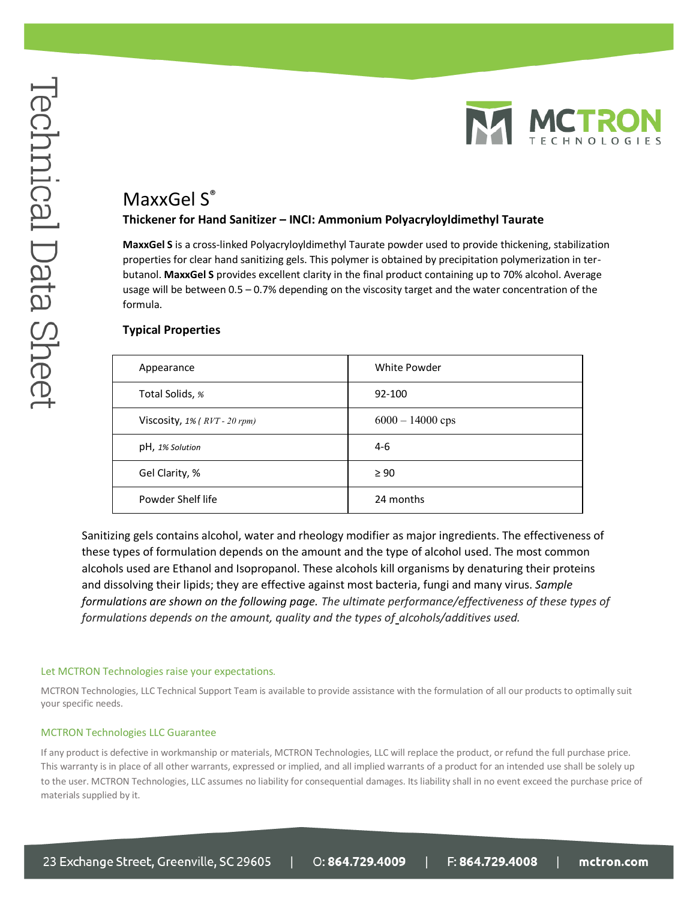

# MaxxGel S<sup>®</sup>

## **Thickener for Hand Sanitizer – INCI: Ammonium Polyacryloyldimethyl Taurate**

**MaxxGel S** is a cross-linked Polyacryloyldimethyl Taurate powder used to provide thickening, stabilization properties for clear hand sanitizing gels. This polymer is obtained by precipitation polymerization in terbutanol. **MaxxGel S** provides excellent clarity in the final product containing up to 70% alcohol. Average usage will be between 0.5 – 0.7% depending on the viscosity target and the water concentration of the formula.

# **Typical Properties**

| Appearance                      | White Powder       |
|---------------------------------|--------------------|
| Total Solids, %                 | 92-100             |
| Viscosity, $1\%$ (RVT - 20 rpm) | $6000 - 14000$ cps |
| pH, 1% Solution                 | $4-6$              |
| Gel Clarity, %                  | $\geq 90$          |
| Powder Shelf life               | 24 months          |

Sanitizing gels contains alcohol, water and rheology modifier as major ingredients. The effectiveness of these types of formulation depends on the amount and the type of alcohol used. The most common alcohols used are Ethanol and Isopropanol. These alcohols kill organisms by denaturing their proteins and dissolving their lipids; they are effective against most bacteria, fungi and many virus. *Sample formulations are shown on the following page. The ultimate performance/effectiveness of these types of formulations depends on the amount, quality and the types of alcohols/additives used.*

#### Let MCTRON Technologies raise your expectations*.*

MCTRON Technologies, LLC Technical Support Team is available to provide assistance with the formulation of all our products to optimally suit your specific needs.

#### MCTRON Technologies LLC Guarantee

If any product is defective in workmanship or materials, MCTRON Technologies, LLC will replace the product, or refund the full purchase price. This warranty is in place of all other warrants, expressed or implied, and all implied warrants of a product for an intended use shall be solely up to the user. MCTRON Technologies, LLC assumes no liability for consequential damages. Its liability shall in no event exceed the purchase price of materials supplied by it.